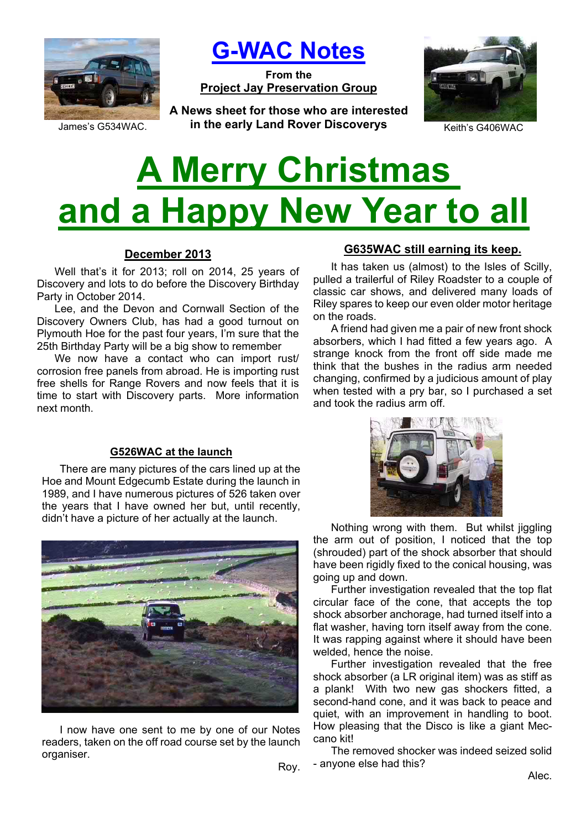

**G-WAC Notes**

**From the Project Jay Preservation Group**

James's G534WAC. *in the early Land Rover Discoverys* **Keith's G406WAC A News sheet for those who are interested** 



# **A Merry Christmas and a Happy New Year to all**

## **December 2013**

Well that's it for 2013; roll on 2014, 25 years of Discovery and lots to do before the Discovery Birthday Party in October 2014.

Lee, and the Devon and Cornwall Section of the Discovery Owners Club, has had a good turnout on Plymouth Hoe for the past four years, I'm sure that the 25th Birthday Party will be a big show to remember

We now have a contact who can import rust/ corrosion free panels from abroad. He is importing rust free shells for Range Rovers and now feels that it is time to start with Discovery parts. More information next month.

## **G526WAC at the launch**

There are many pictures of the cars lined up at the Hoe and Mount Edgecumb Estate during the launch in 1989, and I have numerous pictures of 526 taken over the years that I have owned her but, until recently, didn't have a picture of her actually at the launch.



I now have one sent to me by one of our Notes readers, taken on the off road course set by the launch organiser.

# **G635WAC still earning its keep.**

It has taken us (almost) to the Isles of Scilly, pulled a trailerful of Riley Roadster to a couple of classic car shows, and delivered many loads of Riley spares to keep our even older motor heritage on the roads.

A friend had given me a pair of new front shock absorbers, which I had fitted a few years ago. A strange knock from the front off side made me think that the bushes in the radius arm needed changing, confirmed by a judicious amount of play when tested with a pry bar, so I purchased a set and took the radius arm off.



Nothing wrong with them. But whilst jiggling the arm out of position, I noticed that the top (shrouded) part of the shock absorber that should have been rigidly fixed to the conical housing, was going up and down.

Further investigation revealed that the top flat circular face of the cone, that accepts the top shock absorber anchorage, had turned itself into a flat washer, having torn itself away from the cone. It was rapping against where it should have been welded, hence the noise.

Further investigation revealed that the free shock absorber (a LR original item) was as stiff as a plank! With two new gas shockers fitted, a second-hand cone, and it was back to peace and quiet, with an improvement in handling to boot. How pleasing that the Disco is like a giant Meccano kit!

The removed shocker was indeed seized solid - anyone else had this?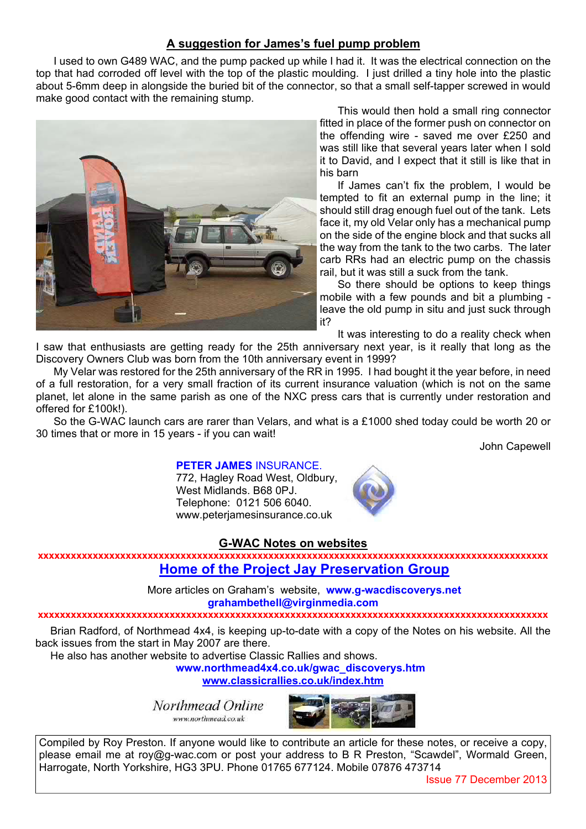## **A suggestion for James's fuel pump problem**

I used to own G489 WAC, and the pump packed up while I had it. It was the electrical connection on the top that had corroded off level with the top of the plastic moulding. I just drilled a tiny hole into the plastic about 5-6mm deep in alongside the buried bit of the connector, so that a small self-tapper screwed in would make good contact with the remaining stump.



This would then hold a small ring connector fitted in place of the former push on connector on the offending wire - saved me over £250 and was still like that several years later when I sold it to David, and I expect that it still is like that in his barn

If James can't fix the problem, I would be tempted to fit an external pump in the line; it should still drag enough fuel out of the tank. Lets face it, my old Velar only has a mechanical pump on the side of the engine block and that sucks all the way from the tank to the two carbs. The later carb RRs had an electric pump on the chassis rail, but it was still a suck from the tank.

So there should be options to keep things mobile with a few pounds and bit a plumbing leave the old pump in situ and just suck through it?

It was interesting to do a reality check when

I saw that enthusiasts are getting ready for the 25th anniversary next year, is it really that long as the Discovery Owners Club was born from the 10th anniversary event in 1999?

My Velar was restored for the 25th anniversary of the RR in 1995. I had bought it the year before, in need of a full restoration, for a very small fraction of its current insurance valuation (which is not on the same planet, let alone in the same parish as one of the NXC press cars that is currently under restoration and offered for £100k!).

So the G-WAC launch cars are rarer than Velars, and what is a £1000 shed today could be worth 20 or 30 times that or more in 15 years - if you can wait!

John Capewell

## **PETER JAMES** INSURANCE.

772, Hagley Road West, Oldbury, West Midlands. B68 0PJ. Telephone: 0121 506 6040. www.peterjamesinsurance.co.uk



#### **G-WAC Notes on websites**

**xxxxxxxxxxxxxxxxxxxxxxxxxxxxxxxxxxxxxxxxxxxxxxxxxxxxxxxxxxxxxxxxxxxxxxxxxxxxxxxxxxxxxxxxxxxxx Home of the Project Jay Preservation Group**

> More articles on Graham's website, **www.g-wacdiscoverys.net grahambethell@virginmedia.com**

#### **xxxxxxxxxxxxxxxxxxxxxxxxxxxxxxxxxxxxxxxxxxxxxxxxxxxxxxxxxxxxxxxxxxxxxxxxxxxxxxxxxxxxxxxxxxxxx**

Brian Radford, of Northmead 4x4, is keeping up-to-date with a copy of the Notes on his website. All the back issues from the start in May 2007 are there.

He also has another website to advertise Classic Rallies and shows.

**www.northmead4x4.co.uk/gwac\_discoverys.htm**

**www.classicrallies.co.uk/index.htm**

Northmead Online www.northmead.co.uk



Compiled by Roy Preston. If anyone would like to contribute an article for these notes, or receive a copy, please email me at roy@g-wac.com or post your address to B R Preston, "Scawdel", Wormald Green, Harrogate, North Yorkshire, HG3 3PU. Phone 01765 677124. Mobile 07876 473714

Issue 77 December 2013